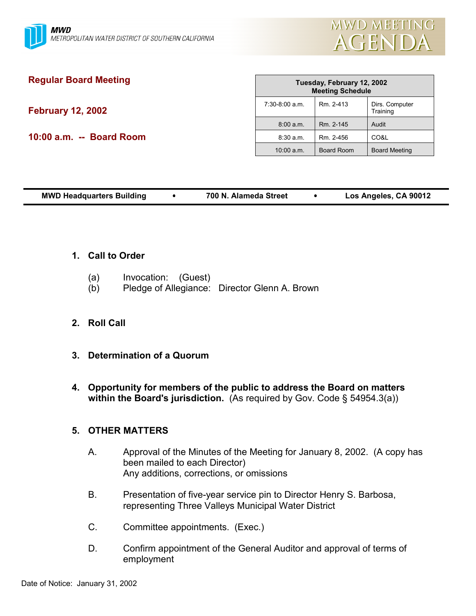

# **Regular Board Meeting February 12, 2002**

**10:00 a.m. -- Board Room**

| Tuesday, February 12, 2002<br><b>Meeting Schedule</b> |                   |                            |
|-------------------------------------------------------|-------------------|----------------------------|
| $7:30-8:00$ a.m.                                      | Rm. 2-413         | Dirs. Computer<br>Training |
| 8:00 a.m.                                             | Rm. 2-145         | Audit                      |
| 8:30 a.m.                                             | Rm. 2-456         | CO&L                       |
| $10:00$ a.m.                                          | <b>Board Room</b> | <b>Board Meeting</b>       |

| Los Angeles, CA 90012<br><b>MWD Headquarters Building</b><br>700 N. Alameda Street |
|------------------------------------------------------------------------------------|
|------------------------------------------------------------------------------------|

- **1. Call to Order**
	- (a) Invocation: (Guest)
	- (b) Pledge of Allegiance: Director Glenn A. Brown

# **2. Roll Call**

- **3. Determination of a Quorum**
- **4. Opportunity for members of the public to address the Board on matters within the Board's jurisdiction.** (As required by Gov. Code § 54954.3(a))

# **5. OTHER MATTERS**

- A. Approval of the Minutes of the Meeting for January 8, 2002. (A copy has been mailed to each Director) Any additions, corrections, or omissions
- B. Presentation of five-year service pin to Director Henry S. Barbosa, representing Three Valleys Municipal Water District
- C. Committee appointments. (Exec.)
- D. Confirm appointment of the General Auditor and approval of terms of employment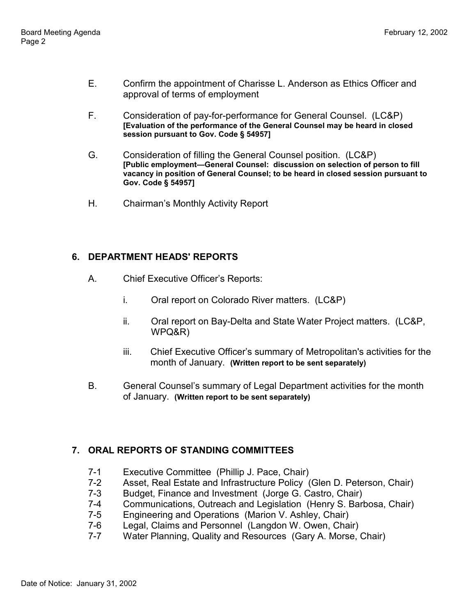- E. Confirm the appointment of Charisse L. Anderson as Ethics Officer and approval of terms of employment
- F. Consideration of pay-for-performance for General Counsel. (LC&P) **[Evaluation of the performance of the General Counsel may be heard in closed session pursuant to Gov. Code § 54957]**
- G. Consideration of filling the General Counsel position. (LC&P) **[Public employment—General Counsel: discussion on selection of person to fill vacancy in position of General Counsel; to be heard in closed session pursuant to Gov. Code § 54957]**
- H. Chairman's Monthly Activity Report

# **6. DEPARTMENT HEADS' REPORTS**

- A. Chief Executive Officer's Reports:
	- i. Oral report on Colorado River matters. (LC&P)
	- ii. Oral report on Bay-Delta and State Water Project matters. (LC&P, WPQ&R)
	- iii. Chief Executive Officer's summary of Metropolitan's activities for the month of January. **(Written report to be sent separately)**
- B. General Counsel's summary of Legal Department activities for the month of January. **(Written report to be sent separately)**

# **7. ORAL REPORTS OF STANDING COMMITTEES**

- 7-1 Executive Committee (Phillip J. Pace, Chair)
- 7-2 Asset, Real Estate and Infrastructure Policy (Glen D. Peterson, Chair)
- 7-3 Budget, Finance and Investment (Jorge G. Castro, Chair)
- 7-4 Communications, Outreach and Legislation (Henry S. Barbosa, Chair)
- 7-5 Engineering and Operations (Marion V. Ashley, Chair)
- 7-6 Legal, Claims and Personnel (Langdon W. Owen, Chair)
- 7-7 Water Planning, Quality and Resources (Gary A. Morse, Chair)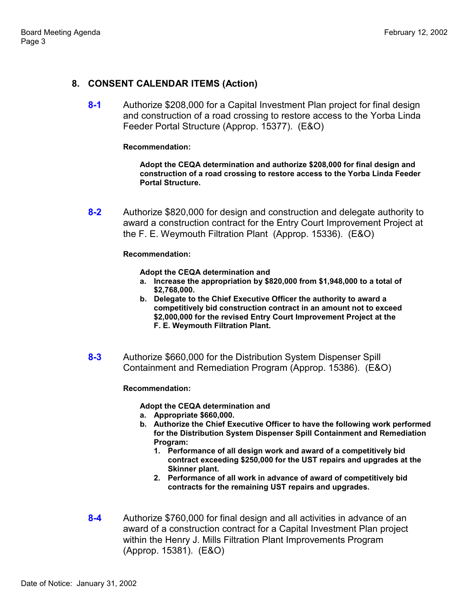### **8. CONSENT CALENDAR ITEMS (Action)**

**8-1** Authorize \$208,000 for a Capital Investment Plan project for final design and construction of a road crossing to restore access to the Yorba Linda Feeder Portal Structure (Approp. 15377). (E&O)

#### **Recommendation:**

**Adopt the CEQA determination and authorize \$208,000 for final design and construction of a road crossing to restore access to the Yorba Linda Feeder Portal Structure.**

**8-2** Authorize \$820,000 for design and construction and delegate authority to award a construction contract for the Entry Court Improvement Project at the F. E. Weymouth Filtration Plant (Approp. 15336). (E&O)

#### **Recommendation:**

**Adopt the CEQA determination and**

- **a. Increase the appropriation by \$820,000 from \$1,948,000 to a total of \$2,768,000.**
- **b. Delegate to the Chief Executive Officer the authority to award a competitively bid construction contract in an amount not to exceed \$2,000,000 for the revised Entry Court Improvement Project at the F. E. Weymouth Filtration Plant.**
- **8-3** Authorize \$660,000 for the Distribution System Dispenser Spill Containment and Remediation Program (Approp. 15386). (E&O)

**Recommendation:**

**Adopt the CEQA determination and**

- **a. Appropriate \$660,000.**
- **b. Authorize the Chief Executive Officer to have the following work performed for the Distribution System Dispenser Spill Containment and Remediation Program:**
	- **1. Performance of all design work and award of a competitively bid contract exceeding \$250,000 for the UST repairs and upgrades at the Skinner plant.**
	- **2. Performance of all work in advance of award of competitively bid contracts for the remaining UST repairs and upgrades.**
- **8-4** Authorize \$760,000 for final design and all activities in advance of an award of a construction contract for a Capital Investment Plan project within the Henry J. Mills Filtration Plant Improvements Program (Approp. 15381). (E&O)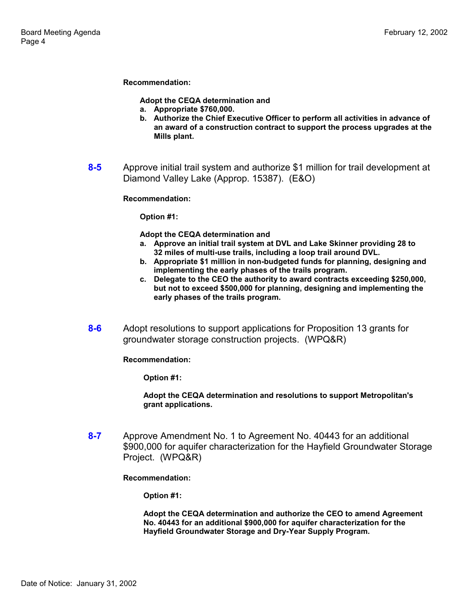**Recommendation:**

**Adopt the CEQA determination and**

- **a. Appropriate \$760,000.**
- **b. Authorize the Chief Executive Officer to perform all activities in advance of an award of a construction contract to support the process upgrades at the Mills plant.**
- **8-5** Approve initial trail system and authorize \$1 million for trail development at Diamond Valley Lake (Approp. 15387). (E&O)

#### **Recommendation:**

**Option #1:**

**Adopt the CEQA determination and**

- **a. Approve an initial trail system at DVL and Lake Skinner providing 28 to 32 miles of multi-use trails, including a loop trail around DVL.**
- **b. Appropriate \$1 million in non-budgeted funds for planning, designing and implementing the early phases of the trails program.**
- **c. Delegate to the CEO the authority to award contracts exceeding \$250,000, but not to exceed \$500,000 for planning, designing and implementing the early phases of the trails program.**
- **8-6** Adopt resolutions to support applications for Proposition 13 grants for groundwater storage construction projects. (WPQ&R)

**Recommendation:**

**Option #1:**

**Adopt the CEQA determination and resolutions to support Metropolitan's grant applications.**

**8-7** Approve Amendment No. 1 to Agreement No. 40443 for an additional \$900,000 for aquifer characterization for the Hayfield Groundwater Storage Project. (WPQ&R)

**Recommendation:**

**Option #1:**

**Adopt the CEQA determination and authorize the CEO to amend Agreement No. 40443 for an additional \$900,000 for aquifer characterization for the Hayfield Groundwater Storage and Dry-Year Supply Program.**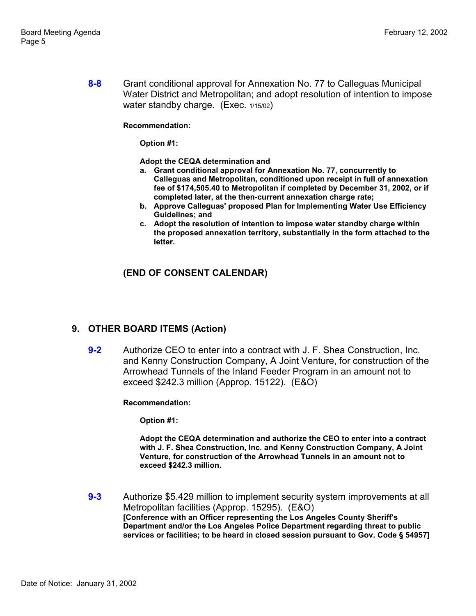**8-8** Grant conditional approval for Annexation No. 77 to Calleguas Municipal Water District and Metropolitan; and adopt resolution of intention to impose water standby charge. (Exec. 1/15/02)

**Recommendation:**

**Option #1:**

**Adopt the CEQA determination and**

- **a. Grant conditional approval for Annexation No. 77, concurrently to Calleguas and Metropolitan, conditioned upon receipt in full of annexation fee of \$174,505.40 to Metropolitan if completed by December 31, 2002, or if completed later, at the then-current annexation charge rate;**
- **b. Approve Calleguas' proposed Plan for Implementing Water Use Efficiency Guidelines; and**
- **c. Adopt the resolution of intention to impose water standby charge within the proposed annexation territory, substantially in the form attached to the letter.**

## **(END OF CONSENT CALENDAR)**

### **9. OTHER BOARD ITEMS (Action)**

**9-2** Authorize CEO to enter into a contract with J. F. Shea Construction, Inc. and Kenny Construction Company, A Joint Venture, for construction of the Arrowhead Tunnels of the Inland Feeder Program in an amount not to exceed \$242.3 million (Approp. 15122). (E&O)

**Recommendation:**

**Option #1:**

**Adopt the CEQA determination and authorize the CEO to enter into a contract with J. F. Shea Construction, Inc. and Kenny Construction Company, A Joint Venture, for construction of the Arrowhead Tunnels in an amount not to exceed \$242.3 million.**

**9-3** Authorize \$5.429 million to implement security system improvements at all Metropolitan facilities (Approp. 15295). (E&O) **[Conference with an Officer representing the Los Angeles County Sheriff's Department and/or the Los Angeles Police Department regarding threat to public services or facilities; to be heard in closed session pursuant to Gov. Code § 54957]**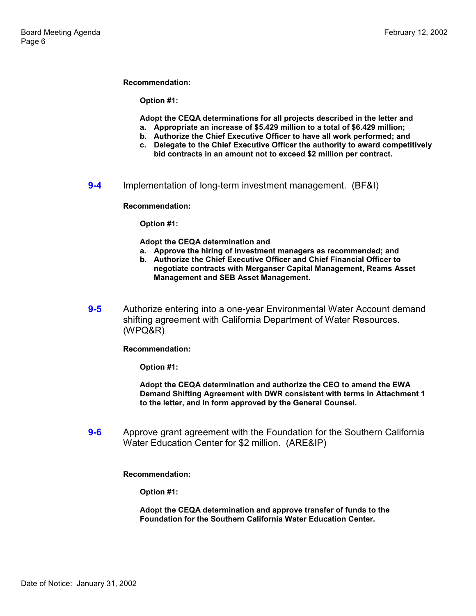#### **Recommendation:**

**Option #1:**

**Adopt the CEQA determinations for all projects described in the letter and**

- **a. Appropriate an increase of \$5.429 million to a total of \$6.429 million;**
- **b. Authorize the Chief Executive Officer to have all work performed; and c. Delegate to the Chief Executive Officer the authority to award competitively**
- **bid contracts in an amount not to exceed \$2 million per contract.**
- **9-4** Implementation of long-term investment management. (BF&I)

**Recommendation:**

**Option #1:**

**Adopt the CEQA determination and**

- **a. Approve the hiring of investment managers as recommended; and**
- **b. Authorize the Chief Executive Officer and Chief Financial Officer to negotiate contracts with Merganser Capital Management, Reams Asset Management and SEB Asset Management.**
- **9-5** Authorize entering into a one-year Environmental Water Account demand shifting agreement with California Department of Water Resources. (WPQ&R)

**Recommendation:**

**Option #1:**

**Adopt the CEQA determination and authorize the CEO to amend the EWA Demand Shifting Agreement with DWR consistent with terms in Attachment 1 to the letter, and in form approved by the General Counsel.**

**9-6** Approve grant agreement with the Foundation for the Southern California Water Education Center for \$2 million. (ARE&IP)

**Recommendation:**

**Option #1:**

**Adopt the CEQA determination and approve transfer of funds to the Foundation for the Southern California Water Education Center.**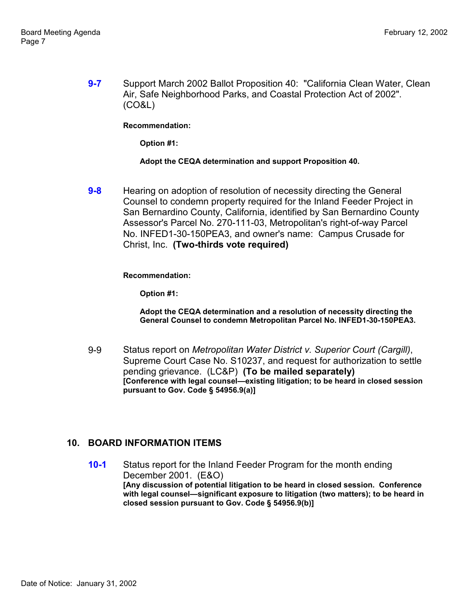**9-7** Support March 2002 Ballot Proposition 40: "California Clean Water, Clean Air, Safe Neighborhood Parks, and Coastal Protection Act of 2002". (CO&L)

**Recommendation:**

**Option #1:**

#### **Adopt the CEQA determination and support Proposition 40.**

**9-8** Hearing on adoption of resolution of necessity directing the General Counsel to condemn property required for the Inland Feeder Project in San Bernardino County, California, identified by San Bernardino County Assessor's Parcel No. 270-111-03, Metropolitan's right-of-way Parcel No. INFED1-30-150PEA3, and owner's name: Campus Crusade for Christ, Inc. **(Two-thirds vote required)**

**Recommendation:**

**Option #1:**

**Adopt the CEQA determination and a resolution of necessity directing the General Counsel to condemn Metropolitan Parcel No. INFED1-30-150PEA3.**

9-9 Status report on *Metropolitan Water District v. Superior Court (Cargill)*, Supreme Court Case No. S10237, and request for authorization to settle pending grievance. (LC&P) **(To be mailed separately) [Conference with legal counsel—existing litigation; to be heard in closed session pursuant to Gov. Code § 54956.9(a)]**

### **10. BOARD INFORMATION ITEMS**

**10-1** Status report for the Inland Feeder Program for the month ending December 2001. (E&O) **[Any discussion of potential litigation to be heard in closed session. Conference with legal counsel—significant exposure to litigation (two matters); to be heard in closed session pursuant to Gov. Code § 54956.9(b)]**